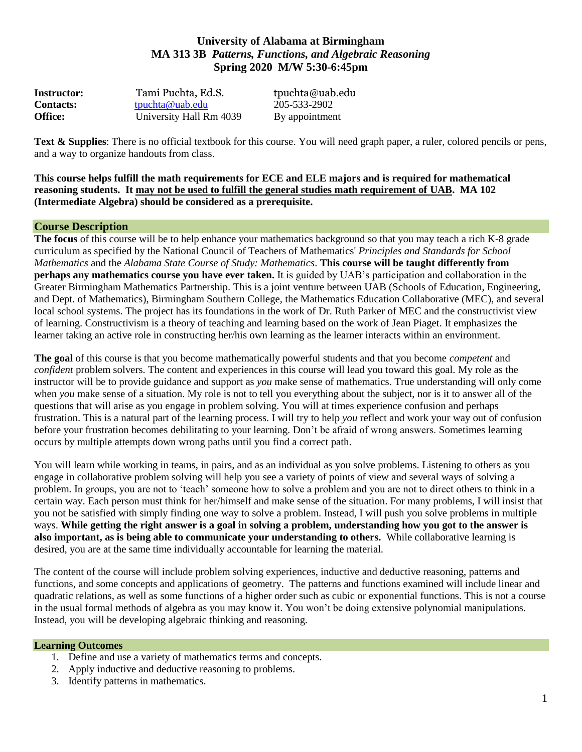# **University of Alabama at Birmingham MA 313 3B** *Patterns, Functions, and Algebraic Reasoning* **Spring 2020 M/W 5:30-6:45pm**

| <b>Instructor:</b> | Tami Puchta, Ed.S.      | tpuchta@uab.edu |
|--------------------|-------------------------|-----------------|
| <b>Contacts:</b>   | tpuchta@uab.edu         | 205-533-2902    |
| <b>Office:</b>     | University Hall Rm 4039 | By appointment  |

**Text & Supplies**: There is no official textbook for this course. You will need graph paper, a ruler, colored pencils or pens, and a way to organize handouts from class.

**This course helps fulfill the math requirements for ECE and ELE majors and is required for mathematical reasoning students. It may not be used to fulfill the general studies math requirement of UAB. MA 102 (Intermediate Algebra) should be considered as a prerequisite.**

#### **Course Description**

**The focus** of this course will be to help enhance your mathematics background so that you may teach a rich K-8 grade curriculum as specified by the National Council of Teachers of Mathematics' *Principles and Standards for School Mathematics* and the *Alabama State Course of Study: Mathematics*. **This course will be taught differently from perhaps any mathematics course you have ever taken.** It is guided by UAB's participation and collaboration in the Greater Birmingham Mathematics Partnership. This is a joint venture between UAB (Schools of Education, Engineering, and Dept. of Mathematics), Birmingham Southern College, the Mathematics Education Collaborative (MEC), and several local school systems. The project has its foundations in the work of Dr. Ruth Parker of MEC and the constructivist view of learning. Constructivism is a theory of teaching and learning based on the work of Jean Piaget. It emphasizes the learner taking an active role in constructing her/his own learning as the learner interacts within an environment.

**The goal** of this course is that you become mathematically powerful students and that you become *competent* and *confident* problem solvers. The content and experiences in this course will lead you toward this goal. My role as the instructor will be to provide guidance and support as *you* make sense of mathematics. True understanding will only come when *you* make sense of a situation. My role is not to tell you everything about the subject, nor is it to answer all of the questions that will arise as you engage in problem solving. You will at times experience confusion and perhaps frustration. This is a natural part of the learning process. I will try to help *you* reflect and work your way out of confusion before your frustration becomes debilitating to your learning. Don't be afraid of wrong answers. Sometimes learning occurs by multiple attempts down wrong paths until you find a correct path.

You will learn while working in teams, in pairs, and as an individual as you solve problems. Listening to others as you engage in collaborative problem solving will help you see a variety of points of view and several ways of solving a problem. In groups, you are not to 'teach' someone how to solve a problem and you are not to direct others to think in a certain way. Each person must think for her/himself and make sense of the situation. For many problems, I will insist that you not be satisfied with simply finding one way to solve a problem. Instead, I will push you solve problems in multiple ways. **While getting the right answer is a goal in solving a problem, understanding how you got to the answer is also important, as is being able to communicate your understanding to others.** While collaborative learning is desired, you are at the same time individually accountable for learning the material.

The content of the course will include problem solving experiences, inductive and deductive reasoning, patterns and functions, and some concepts and applications of geometry. The patterns and functions examined will include linear and quadratic relations, as well as some functions of a higher order such as cubic or exponential functions. This is not a course in the usual formal methods of algebra as you may know it. You won't be doing extensive polynomial manipulations. Instead, you will be developing algebraic thinking and reasoning.

#### **Learning Outcomes**

- 1. Define and use a variety of mathematics terms and concepts.
- 2. Apply inductive and deductive reasoning to problems.
- 3. Identify patterns in mathematics.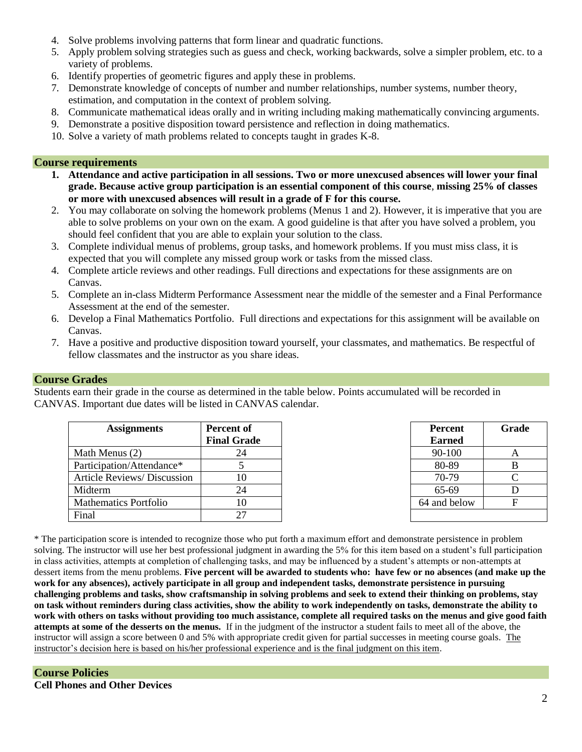- 4. Solve problems involving patterns that form linear and quadratic functions.
- 5. Apply problem solving strategies such as guess and check, working backwards, solve a simpler problem, etc. to a variety of problems.
- 6. Identify properties of geometric figures and apply these in problems.
- 7. Demonstrate knowledge of concepts of number and number relationships, number systems, number theory, estimation, and computation in the context of problem solving.
- 8. Communicate mathematical ideas orally and in writing including making mathematically convincing arguments.
- 9. Demonstrate a positive disposition toward persistence and reflection in doing mathematics.
- 10. Solve a variety of math problems related to concepts taught in grades K-8.

#### **Course requirements**

- **1. Attendance and active participation in all sessions. Two or more unexcused absences will lower your final grade. Because active group participation is an essential component of this course**, **missing 25% of classes or more with unexcused absences will result in a grade of F for this course.**
- 2. You may collaborate on solving the homework problems (Menus 1 and 2). However, it is imperative that you are able to solve problems on your own on the exam. A good guideline is that after you have solved a problem, you should feel confident that you are able to explain your solution to the class.
- 3. Complete individual menus of problems, group tasks, and homework problems. If you must miss class, it is expected that you will complete any missed group work or tasks from the missed class.
- 4. Complete article reviews and other readings. Full directions and expectations for these assignments are on Canvas.
- 5. Complete an in-class Midterm Performance Assessment near the middle of the semester and a Final Performance Assessment at the end of the semester.
- 6. Develop a Final Mathematics Portfolio. Full directions and expectations for this assignment will be available on Canvas.
- 7. Have a positive and productive disposition toward yourself, your classmates, and mathematics. Be respectful of fellow classmates and the instructor as you share ideas.

#### **Course Grades**

Students earn their grade in the course as determined in the table below. Points accumulated will be recorded in CANVAS. Important due dates will be listed in CANVAS calendar.

| <b>Assignments</b>                 | <b>Percent of</b><br><b>Final Grade</b> | <b>Percent</b><br><b>Earned</b> | Gra |
|------------------------------------|-----------------------------------------|---------------------------------|-----|
| Math Menus (2)                     | 24                                      | 90-100                          | A   |
| Participation/Attendance*          |                                         | 80-89                           | B   |
| <b>Article Reviews/ Discussion</b> | 10                                      | 70-79                           |     |
| Midterm                            | 24                                      | 65-69                           |     |
| <b>Mathematics Portfolio</b>       | 10                                      | 64 and below                    | F   |
| Final                              | 27                                      |                                 |     |

| <b>Percent</b> | Grade |  |
|----------------|-------|--|
| <b>Earned</b>  |       |  |
| 90-100         | А     |  |
| 80-89          | B     |  |
| 70-79          | C     |  |
| 65-69          | D     |  |
| 64 and below   | F     |  |
|                |       |  |

\* The participation score is intended to recognize those who put forth a maximum effort and demonstrate persistence in problem solving. The instructor will use her best professional judgment in awarding the 5% for this item based on a student's full participation in class activities, attempts at completion of challenging tasks, and may be influenced by a student's attempts or non-attempts at dessert items from the menu problems. **Five percent will be awarded to students who: have few or no absences (and make up the work for any absences), actively participate in all group and independent tasks, demonstrate persistence in pursuing challenging problems and tasks, show craftsmanship in solving problems and seek to extend their thinking on problems, stay on task without reminders during class activities, show the ability to work independently on tasks, demonstrate the ability to work with others on tasks without providing too much assistance, complete all required tasks on the menus and give good faith attempts at some of the desserts on the menus.** If in the judgment of the instructor a student fails to meet all of the above, the instructor will assign a score between 0 and 5% with appropriate credit given for partial successes in meeting course goals. The instructor's decision here is based on his/her professional experience and is the final judgment on this item.